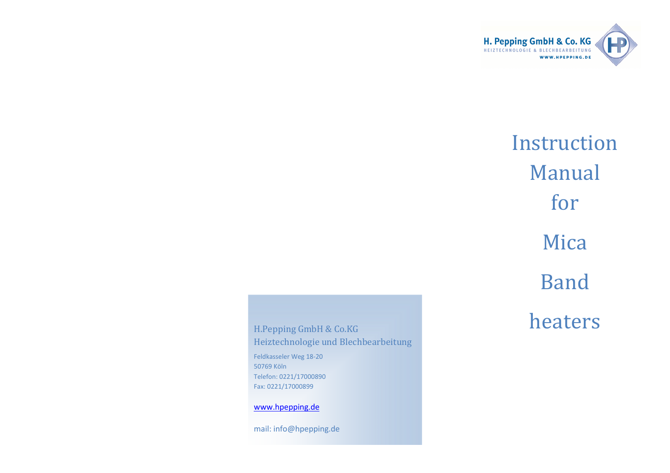

# Instruction Manual for Mica Band heaters

H.Pepping GmbH & Co.KG Heiztechnologie und BlechbearbeitungFeldkasseler Weg 18-20 50769 Köln Telefon: 0221/17000890 Fax: 0221/17000899

www.hpepping.de

mail: info@hpepping.de